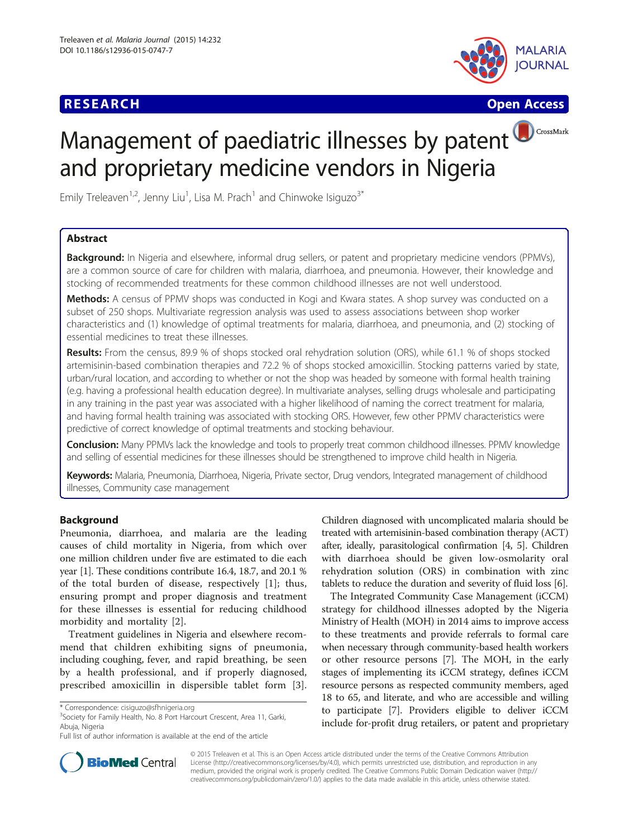## **RESEARCH CHEAR CHEAR CHEAR CHEAR CHEAR CHEAR CHEAR CHEAR CHEAR CHEAR CHEAR CHEAR CHEAR CHEAR CHEAR CHEAR CHEAR**





# Management of paediatric illnesses by patent and proprietary medicine vendors in Nigeria

Emily Treleaven<sup>1,2</sup>, Jenny Liu<sup>1</sup>, Lisa M. Prach<sup>1</sup> and Chinwoke Isiguzo<sup>3\*</sup>

## Abstract

Background: In Nigeria and elsewhere, informal drug sellers, or patent and proprietary medicine vendors (PPMVs), are a common source of care for children with malaria, diarrhoea, and pneumonia. However, their knowledge and stocking of recommended treatments for these common childhood illnesses are not well understood.

Methods: A census of PPMV shops was conducted in Kogi and Kwara states. A shop survey was conducted on a subset of 250 shops. Multivariate regression analysis was used to assess associations between shop worker characteristics and (1) knowledge of optimal treatments for malaria, diarrhoea, and pneumonia, and (2) stocking of essential medicines to treat these illnesses.

Results: From the census, 89.9 % of shops stocked oral rehydration solution (ORS), while 61.1 % of shops stocked artemisinin-based combination therapies and 72.2 % of shops stocked amoxicillin. Stocking patterns varied by state, urban/rural location, and according to whether or not the shop was headed by someone with formal health training (e.g. having a professional health education degree). In multivariate analyses, selling drugs wholesale and participating in any training in the past year was associated with a higher likelihood of naming the correct treatment for malaria, and having formal health training was associated with stocking ORS. However, few other PPMV characteristics were predictive of correct knowledge of optimal treatments and stocking behaviour.

Conclusion: Many PPMVs lack the knowledge and tools to properly treat common childhood illnesses. PPMV knowledge and selling of essential medicines for these illnesses should be strengthened to improve child health in Nigeria.

Keywords: Malaria, Pneumonia, Diarrhoea, Nigeria, Private sector, Drug vendors, Integrated management of childhood illnesses, Community case management

## Background

Pneumonia, diarrhoea, and malaria are the leading causes of child mortality in Nigeria, from which over one million children under five are estimated to die each year [[1\]](#page-7-0). These conditions contribute 16.4, 18.7, and 20.1 % of the total burden of disease, respectively [\[1](#page-7-0)]; thus, ensuring prompt and proper diagnosis and treatment for these illnesses is essential for reducing childhood morbidity and mortality [[2\]](#page-7-0).

Treatment guidelines in Nigeria and elsewhere recommend that children exhibiting signs of pneumonia, including coughing, fever, and rapid breathing, be seen by a health professional, and if properly diagnosed, prescribed amoxicillin in dispersible tablet form [\[3](#page-7-0)].

<sup>3</sup> Society for Family Health, No. 8 Port Harcourt Crescent, Area 11, Garki, Abuja, Nigeria

Children diagnosed with uncomplicated malaria should be treated with artemisinin-based combination therapy (ACT) after, ideally, parasitological confirmation [[4](#page-7-0), [5](#page-7-0)]. Children with diarrhoea should be given low-osmolarity oral rehydration solution (ORS) in combination with zinc tablets to reduce the duration and severity of fluid loss [[6\]](#page-7-0).

The Integrated Community Case Management (iCCM) strategy for childhood illnesses adopted by the Nigeria Ministry of Health (MOH) in 2014 aims to improve access to these treatments and provide referrals to formal care when necessary through community-based health workers or other resource persons [\[7](#page-8-0)]. The MOH, in the early stages of implementing its iCCM strategy, defines iCCM resource persons as respected community members, aged 18 to 65, and literate, and who are accessible and willing to participate [\[7\]](#page-8-0). Providers eligible to deliver iCCM include for-profit drug retailers, or patent and proprietary



© 2015 Treleaven et al. This is an Open Access article distributed under the terms of the Creative Commons Attribution License (<http://creativecommons.org/licenses/by/4.0>), which permits unrestricted use, distribution, and reproduction in any medium, provided the original work is properly credited. The Creative Commons Public Domain Dedication waiver [\(http://](http://creativecommons.org/publicdomain/zero/1.0/) [creativecommons.org/publicdomain/zero/1.0/\)](http://creativecommons.org/publicdomain/zero/1.0/) applies to the data made available in this article, unless otherwise stated.

<sup>\*</sup> Correspondence: [cisiguzo@sfhnigeria.org](mailto:cisiguzo@sfhnigeria.org) <sup>3</sup>

Full list of author information is available at the end of the article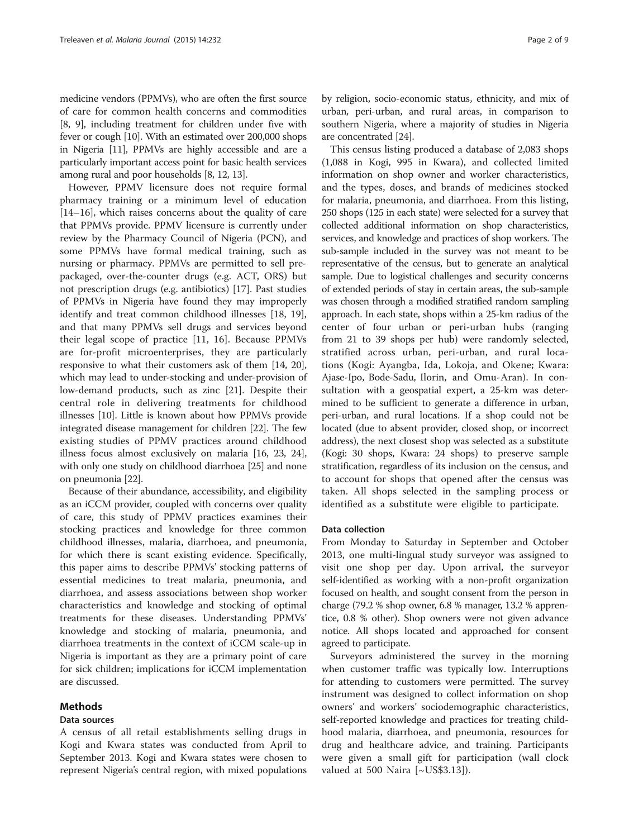medicine vendors (PPMVs), who are often the first source of care for common health concerns and commodities [[8, 9](#page-8-0)], including treatment for children under five with fever or cough [\[10\]](#page-8-0). With an estimated over 200,000 shops in Nigeria [\[11\]](#page-8-0), PPMVs are highly accessible and are a particularly important access point for basic health services among rural and poor households [\[8](#page-8-0), [12](#page-8-0), [13](#page-8-0)].

However, PPMV licensure does not require formal pharmacy training or a minimum level of education [[14](#page-8-0)–[16](#page-8-0)], which raises concerns about the quality of care that PPMVs provide. PPMV licensure is currently under review by the Pharmacy Council of Nigeria (PCN), and some PPMVs have formal medical training, such as nursing or pharmacy. PPMVs are permitted to sell prepackaged, over-the-counter drugs (e.g. ACT, ORS) but not prescription drugs (e.g. antibiotics) [[17](#page-8-0)]. Past studies of PPMVs in Nigeria have found they may improperly identify and treat common childhood illnesses [\[18](#page-8-0), [19](#page-8-0)], and that many PPMVs sell drugs and services beyond their legal scope of practice [[11, 16](#page-8-0)]. Because PPMVs are for-profit microenterprises, they are particularly responsive to what their customers ask of them [\[14, 20](#page-8-0)], which may lead to under-stocking and under-provision of low-demand products, such as zinc [\[21](#page-8-0)]. Despite their central role in delivering treatments for childhood illnesses [\[10\]](#page-8-0). Little is known about how PPMVs provide integrated disease management for children [[22](#page-8-0)]. The few existing studies of PPMV practices around childhood illness focus almost exclusively on malaria [[16](#page-8-0), [23, 24](#page-8-0)], with only one study on childhood diarrhoea [[25](#page-8-0)] and none on pneumonia [[22](#page-8-0)].

Because of their abundance, accessibility, and eligibility as an iCCM provider, coupled with concerns over quality of care, this study of PPMV practices examines their stocking practices and knowledge for three common childhood illnesses, malaria, diarrhoea, and pneumonia, for which there is scant existing evidence. Specifically, this paper aims to describe PPMVs' stocking patterns of essential medicines to treat malaria, pneumonia, and diarrhoea, and assess associations between shop worker characteristics and knowledge and stocking of optimal treatments for these diseases. Understanding PPMVs' knowledge and stocking of malaria, pneumonia, and diarrhoea treatments in the context of iCCM scale-up in Nigeria is important as they are a primary point of care for sick children; implications for iCCM implementation are discussed.

## Methods

## Data sources

A census of all retail establishments selling drugs in Kogi and Kwara states was conducted from April to September 2013. Kogi and Kwara states were chosen to represent Nigeria's central region, with mixed populations

by religion, socio-economic status, ethnicity, and mix of urban, peri-urban, and rural areas, in comparison to southern Nigeria, where a majority of studies in Nigeria are concentrated [[24](#page-8-0)].

This census listing produced a database of 2,083 shops (1,088 in Kogi, 995 in Kwara), and collected limited information on shop owner and worker characteristics, and the types, doses, and brands of medicines stocked for malaria, pneumonia, and diarrhoea. From this listing, 250 shops (125 in each state) were selected for a survey that collected additional information on shop characteristics, services, and knowledge and practices of shop workers. The sub-sample included in the survey was not meant to be representative of the census, but to generate an analytical sample. Due to logistical challenges and security concerns of extended periods of stay in certain areas, the sub-sample was chosen through a modified stratified random sampling approach. In each state, shops within a 25-km radius of the center of four urban or peri-urban hubs (ranging from 21 to 39 shops per hub) were randomly selected, stratified across urban, peri-urban, and rural locations (Kogi: Ayangba, Ida, Lokoja, and Okene; Kwara: Ajase-Ipo, Bode-Sadu, Ilorin, and Omu-Aran). In consultation with a geospatial expert, a 25-km was determined to be sufficient to generate a difference in urban, peri-urban, and rural locations. If a shop could not be located (due to absent provider, closed shop, or incorrect address), the next closest shop was selected as a substitute (Kogi: 30 shops, Kwara: 24 shops) to preserve sample stratification, regardless of its inclusion on the census, and to account for shops that opened after the census was taken. All shops selected in the sampling process or identified as a substitute were eligible to participate.

#### Data collection

From Monday to Saturday in September and October 2013, one multi-lingual study surveyor was assigned to visit one shop per day. Upon arrival, the surveyor self-identified as working with a non-profit organization focused on health, and sought consent from the person in charge (79.2 % shop owner, 6.8 % manager, 13.2 % apprentice, 0.8 % other). Shop owners were not given advance notice. All shops located and approached for consent agreed to participate.

Surveyors administered the survey in the morning when customer traffic was typically low. Interruptions for attending to customers were permitted. The survey instrument was designed to collect information on shop owners' and workers' sociodemographic characteristics, self-reported knowledge and practices for treating childhood malaria, diarrhoea, and pneumonia, resources for drug and healthcare advice, and training. Participants were given a small gift for participation (wall clock valued at 500 Naira [~US\$3.13]).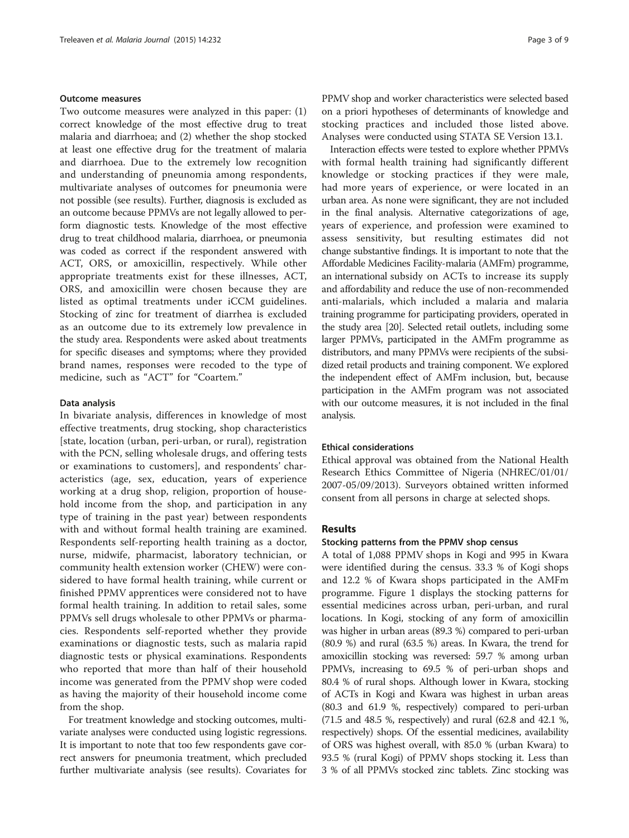#### Outcome measures

Two outcome measures were analyzed in this paper: (1) correct knowledge of the most effective drug to treat malaria and diarrhoea; and (2) whether the shop stocked at least one effective drug for the treatment of malaria and diarrhoea. Due to the extremely low recognition and understanding of pneunomia among respondents, multivariate analyses of outcomes for pneumonia were not possible (see results). Further, diagnosis is excluded as an outcome because PPMVs are not legally allowed to perform diagnostic tests. Knowledge of the most effective drug to treat childhood malaria, diarrhoea, or pneumonia was coded as correct if the respondent answered with ACT, ORS, or amoxicillin, respectively. While other appropriate treatments exist for these illnesses, ACT, ORS, and amoxicillin were chosen because they are listed as optimal treatments under iCCM guidelines. Stocking of zinc for treatment of diarrhea is excluded as an outcome due to its extremely low prevalence in the study area. Respondents were asked about treatments for specific diseases and symptoms; where they provided brand names, responses were recoded to the type of medicine, such as "ACT" for "Coartem."

## Data analysis

In bivariate analysis, differences in knowledge of most effective treatments, drug stocking, shop characteristics [state, location (urban, peri-urban, or rural), registration with the PCN, selling wholesale drugs, and offering tests or examinations to customers], and respondents' characteristics (age, sex, education, years of experience working at a drug shop, religion, proportion of household income from the shop, and participation in any type of training in the past year) between respondents with and without formal health training are examined. Respondents self-reporting health training as a doctor, nurse, midwife, pharmacist, laboratory technician, or community health extension worker (CHEW) were considered to have formal health training, while current or finished PPMV apprentices were considered not to have formal health training. In addition to retail sales, some PPMVs sell drugs wholesale to other PPMVs or pharmacies. Respondents self-reported whether they provide examinations or diagnostic tests, such as malaria rapid diagnostic tests or physical examinations. Respondents who reported that more than half of their household income was generated from the PPMV shop were coded as having the majority of their household income come from the shop.

For treatment knowledge and stocking outcomes, multivariate analyses were conducted using logistic regressions. It is important to note that too few respondents gave correct answers for pneumonia treatment, which precluded further multivariate analysis (see results). Covariates for PPMV shop and worker characteristics were selected based on a priori hypotheses of determinants of knowledge and stocking practices and included those listed above. Analyses were conducted using STATA SE Version 13.1.

Interaction effects were tested to explore whether PPMVs with formal health training had significantly different knowledge or stocking practices if they were male, had more years of experience, or were located in an urban area. As none were significant, they are not included in the final analysis. Alternative categorizations of age, years of experience, and profession were examined to assess sensitivity, but resulting estimates did not change substantive findings. It is important to note that the Affordable Medicines Facility-malaria (AMFm) programme, an international subsidy on ACTs to increase its supply and affordability and reduce the use of non-recommended anti-malarials, which included a malaria and malaria training programme for participating providers, operated in the study area [\[20\]](#page-8-0). Selected retail outlets, including some larger PPMVs, participated in the AMFm programme as distributors, and many PPMVs were recipients of the subsidized retail products and training component. We explored the independent effect of AMFm inclusion, but, because participation in the AMFm program was not associated with our outcome measures, it is not included in the final analysis.

#### Ethical considerations

Ethical approval was obtained from the National Health Research Ethics Committee of Nigeria (NHREC/01/01/ 2007-05/09/2013). Surveyors obtained written informed consent from all persons in charge at selected shops.

## Results

#### Stocking patterns from the PPMV shop census

A total of 1,088 PPMV shops in Kogi and 995 in Kwara were identified during the census. 33.3 % of Kogi shops and 12.2 % of Kwara shops participated in the AMFm programme. Figure [1](#page-3-0) displays the stocking patterns for essential medicines across urban, peri-urban, and rural locations. In Kogi, stocking of any form of amoxicillin was higher in urban areas (89.3 %) compared to peri-urban (80.9 %) and rural (63.5 %) areas. In Kwara, the trend for amoxicillin stocking was reversed: 59.7 % among urban PPMVs, increasing to 69.5 % of peri-urban shops and 80.4 % of rural shops. Although lower in Kwara, stocking of ACTs in Kogi and Kwara was highest in urban areas (80.3 and 61.9 %, respectively) compared to peri-urban (71.5 and 48.5 %, respectively) and rural (62.8 and 42.1 %, respectively) shops. Of the essential medicines, availability of ORS was highest overall, with 85.0 % (urban Kwara) to 93.5 % (rural Kogi) of PPMV shops stocking it. Less than 3 % of all PPMVs stocked zinc tablets. Zinc stocking was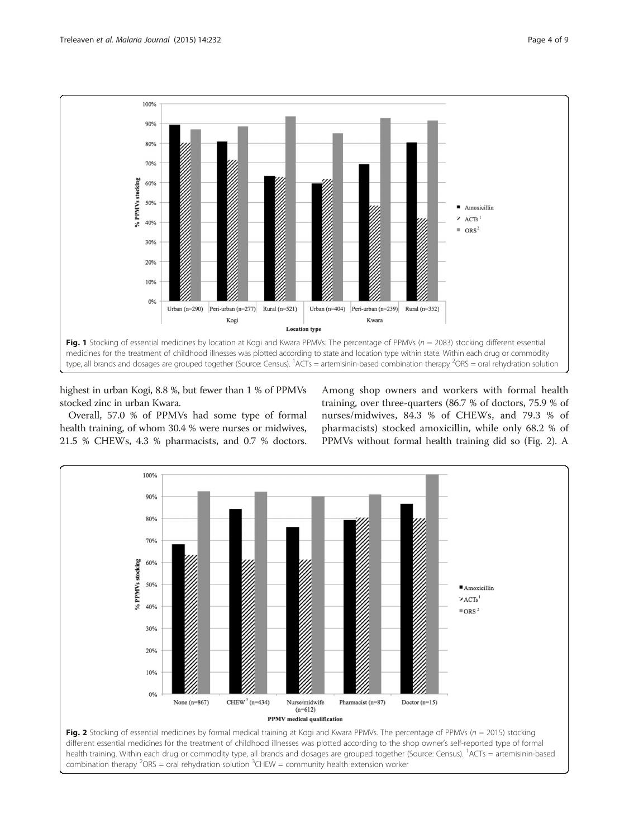<span id="page-3-0"></span>

highest in urban Kogi, 8.8 %, but fewer than 1 % of PPMVs stocked zinc in urban Kwara.

Overall, 57.0 % of PPMVs had some type of formal health training, of whom 30.4 % were nurses or midwives, 21.5 % CHEWs, 4.3 % pharmacists, and 0.7 % doctors.

Among shop owners and workers with formal health training, over three-quarters (86.7 % of doctors, 75.9 % of nurses/midwives, 84.3 % of CHEWs, and 79.3 % of pharmacists) stocked amoxicillin, while only 68.2 % of PPMVs without formal health training did so (Fig. 2). A

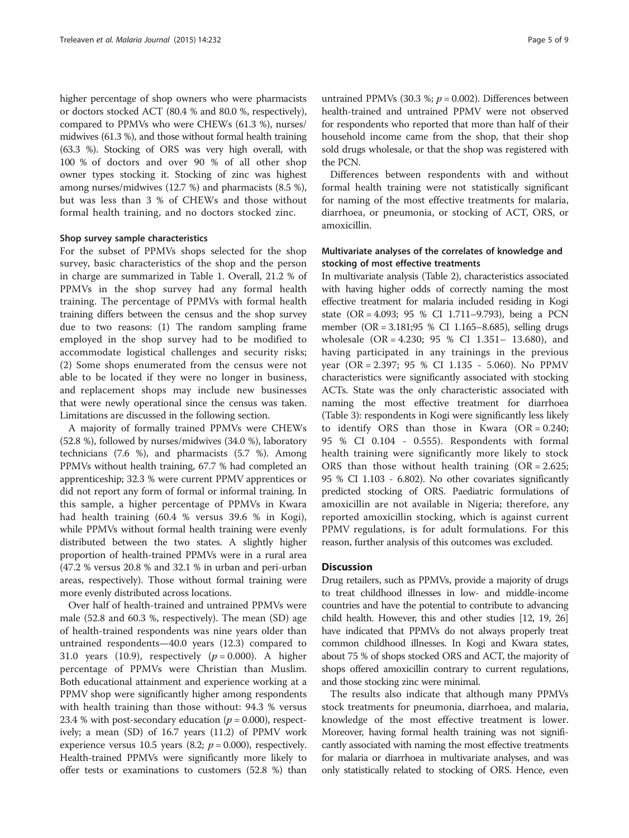higher percentage of shop owners who were pharmacists or doctors stocked ACT (80.4 % and 80.0 %, respectively), compared to PPMVs who were CHEWs (61.3 %), nurses/ midwives (61.3 %), and those without formal health training (63.3 %). Stocking of ORS was very high overall, with 100 % of doctors and over 90 % of all other shop owner types stocking it. Stocking of zinc was highest among nurses/midwives (12.7 %) and pharmacists (8.5 %), but was less than 3 % of CHEWs and those without formal health training, and no doctors stocked zinc.

#### Shop survey sample characteristics

For the subset of PPMVs shops selected for the shop survey, basic characteristics of the shop and the person in charge are summarized in Table [1.](#page-5-0) Overall, 21.2 % of PPMVs in the shop survey had any formal health training. The percentage of PPMVs with formal health training differs between the census and the shop survey due to two reasons: (1) The random sampling frame employed in the shop survey had to be modified to accommodate logistical challenges and security risks; (2) Some shops enumerated from the census were not able to be located if they were no longer in business, and replacement shops may include new businesses that were newly operational since the census was taken. Limitations are discussed in the following section.

A majority of formally trained PPMVs were CHEWs (52.8 %), followed by nurses/midwives (34.0 %), laboratory technicians (7.6 %), and pharmacists (5.7 %). Among PPMVs without health training, 67.7 % had completed an apprenticeship; 32.3 % were current PPMV apprentices or did not report any form of formal or informal training. In this sample, a higher percentage of PPMVs in Kwara had health training (60.4 % versus 39.6 % in Kogi), while PPMVs without formal health training were evenly distributed between the two states. A slightly higher proportion of health-trained PPMVs were in a rural area (47.2 % versus 20.8 % and 32.1 % in urban and peri-urban areas, respectively). Those without formal training were more evenly distributed across locations.

Over half of health-trained and untrained PPMVs were male (52.8 and 60.3 %, respectively). The mean (SD) age of health-trained respondents was nine years older than untrained respondents—40.0 years (12.3) compared to 31.0 years (10.9), respectively ( $p = 0.000$ ). A higher percentage of PPMVs were Christian than Muslim. Both educational attainment and experience working at a PPMV shop were significantly higher among respondents with health training than those without: 94.3 % versus 23.4 % with post-secondary education ( $p = 0.000$ ), respectively; a mean (SD) of 16.7 years (11.2) of PPMV work experience versus 10.5 years (8.2;  $p = 0.000$ ), respectively. Health-trained PPMVs were significantly more likely to offer tests or examinations to customers (52.8 %) than

untrained PPMVs (30.3 %;  $p = 0.002$ ). Differences between health-trained and untrained PPMV were not observed for respondents who reported that more than half of their household income came from the shop, that their shop sold drugs wholesale, or that the shop was registered with the PCN.

Differences between respondents with and without formal health training were not statistically significant for naming of the most effective treatments for malaria, diarrhoea, or pneumonia, or stocking of ACT, ORS, or amoxicillin.

## Multivariate analyses of the correlates of knowledge and stocking of most effective treatments

In multivariate analysis (Table [2\)](#page-6-0), characteristics associated with having higher odds of correctly naming the most effective treatment for malaria included residing in Kogi state (OR = 4.093; 95 % CI 1.711–9.793), being a PCN member (OR = 3.181;95 % CI 1.165–8.685), selling drugs wholesale (OR = 4.230; 95 % CI 1.351– 13.680), and having participated in any trainings in the previous year (OR = 2.397; 95 % CI 1.135 - 5.060). No PPMV characteristics were significantly associated with stocking ACTs. State was the only characteristic associated with naming the most effective treatment for diarrhoea (Table [3](#page-6-0)): respondents in Kogi were significantly less likely to identify ORS than those in Kwara (OR = 0.240; 95 % CI 0.104 - 0.555). Respondents with formal health training were significantly more likely to stock ORS than those without health training  $(OR = 2.625;$ 95 % CI 1.103 - 6.802). No other covariates significantly predicted stocking of ORS. Paediatric formulations of amoxicillin are not available in Nigeria; therefore, any reported amoxicillin stocking, which is against current PPMV regulations, is for adult formulations. For this reason, further analysis of this outcomes was excluded.

## **Discussion**

Drug retailers, such as PPMVs, provide a majority of drugs to treat childhood illnesses in low- and middle-income countries and have the potential to contribute to advancing child health. However, this and other studies [[12](#page-8-0), [19, 26](#page-8-0)] have indicated that PPMVs do not always properly treat common childhood illnesses. In Kogi and Kwara states, about 75 % of shops stocked ORS and ACT, the majority of shops offered amoxicillin contrary to current regulations, and those stocking zinc were minimal.

The results also indicate that although many PPMVs stock treatments for pneumonia, diarrhoea, and malaria, knowledge of the most effective treatment is lower. Moreover, having formal health training was not significantly associated with naming the most effective treatments for malaria or diarrhoea in multivariate analyses, and was only statistically related to stocking of ORS. Hence, even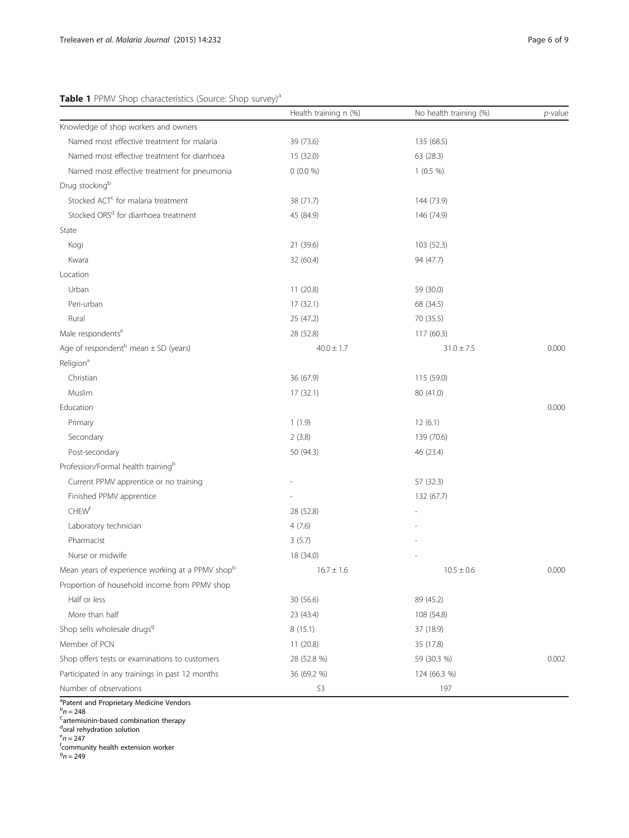## <span id="page-5-0"></span>Table 1 PPMV Shop characteristics (Source: Shop survey)<sup>a</sup>

|                                                      | Health training n (%) | No health training (%) | $p$ -value |
|------------------------------------------------------|-----------------------|------------------------|------------|
| Knowledge of shop workers and owners                 |                       |                        |            |
| Named most effective treatment for malaria           | 39 (73.6)             | 135 (68.5)             |            |
| Named most effective treatment for diarrhoea         | 15 (32.0)             | 63 (28.3)              |            |
| Named most effective treatment for pneumonia         | $0(0.0\%)$            | 1(0.5 %)               |            |
| Drug stocking <sup>b</sup>                           |                       |                        |            |
| Stocked ACT <sup>c</sup> for malaria treatment       | 38 (71.7)             | 144 (73.9)             |            |
| Stocked ORS <sup>d</sup> for diarrhoea treatment     | 45 (84.9)             | 146 (74.9)             |            |
| State                                                |                       |                        |            |
| Kogi                                                 | 21 (39.6)             | 103 (52.3)             |            |
| Kwara                                                | 32 (60.4)             | 94 (47.7)              |            |
| Location                                             |                       |                        |            |
| Urban                                                | 11 (20.8)             | 59 (30.0)              |            |
| Peri-urban                                           | 17 (32.1)             | 68 (34.5)              |            |
| Rural                                                | 25 (47.2)             | 70 (35.5)              |            |
| Male respondents <sup>e</sup>                        | 28 (52.8)             | 117 (60.3)             |            |
| Age of respondent <sup>b</sup> mean $\pm$ SD (years) | $40.0 \pm 1.7$        | $31.0 \pm 7.5$         | 0.000      |
| Religion <sup>a</sup>                                |                       |                        |            |
| Christian                                            | 36 (67.9)             | 115 (59.0)             |            |
| Muslim                                               | 17(32.1)              | 80 (41.0)              |            |
| Education                                            |                       |                        | 0.000      |
| Primary                                              | 1(1.9)                | 12(6.1)                |            |
| Secondary                                            | 2(3.8)                | 139 (70.6)             |            |
| Post-secondary                                       | 50 (94.3)             | 46 (23.4)              |            |
| Profession/Formal health training <sup>b</sup>       |                       |                        |            |
| Current PPMV apprentice or no training               |                       | 57 (32.3)              |            |
| Finished PPMV apprentice                             |                       | 132 (67.7)             |            |
| CHEW <sup>f</sup>                                    | 28 (52.8)             |                        |            |
| Laboratory technician                                | 4(7.6)                |                        |            |
| Pharmacist                                           | 3(5.7)                |                        |            |
| Nurse or midwife                                     | 18 (34.0)             |                        |            |
| Mean years of experience working at a PPMV shopb     | $16.7 \pm 1.6$        | $10.5 \pm 0.6$         | 0.000      |
| Proportion of household income from PPMV shop        |                       |                        |            |
| Half or less                                         | 30 (56.6)             | 89 (45.2)              |            |
| More than half                                       | 23 (43.4)             | 108 (54.8)             |            |
| Shop sells wholesale drugs <sup>9</sup>              | 8(15.1)               | 37 (18.9)              |            |
| Member of PCN                                        | 11(20.8)              | 35 (17.8)              |            |
| Shop offers tests or examinations to customers       | 28 (52.8 %)           | 59 (30.3 %)            | 0.002      |
| Participated in any trainings in past 12 months      | 36 (69.2 %)           | 124 (66.3 %)           |            |
| Number of observations                               | 53                    | 197                    |            |

<sup>a</sup> Patent and Proprietary Medicine Vendors<br><sup>b</sup>n = 248<br><sup>C</sup>artomicinin based combination therapy

<sup>C</sup>artemisinin-based combination therapy<br><sup>d</sup>oral rehydration solution

<sup>e</sup>n = 247<br><sup>f</sup>community health extension worker  $\rm ^{9}n$  = 249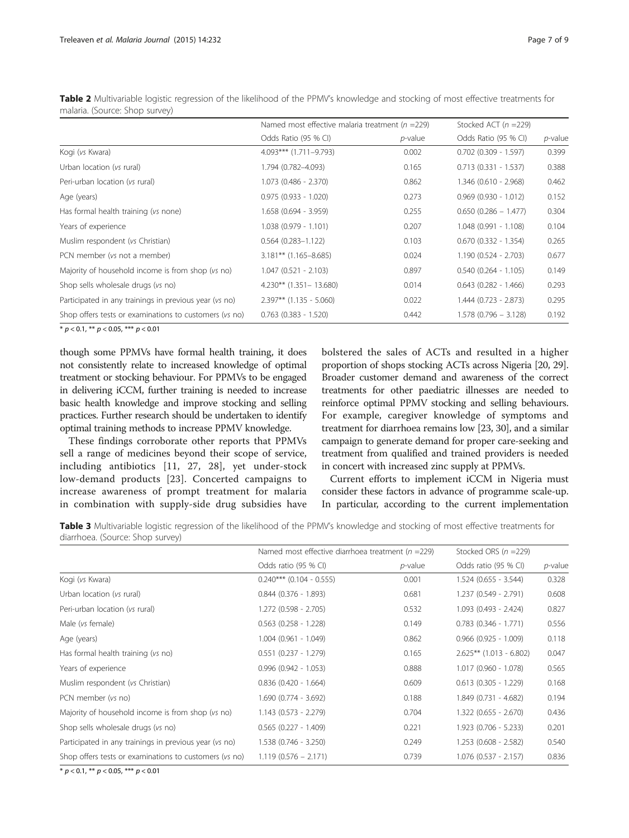|                                                        | Named most effective malaria treatment ( $n = 229$ ) |                 | Stocked ACT $(n = 229)$   |            |
|--------------------------------------------------------|------------------------------------------------------|-----------------|---------------------------|------------|
|                                                        | Odds Ratio (95 % CI)                                 | <i>p</i> -value | Odds Ratio (95 % CI)      | $p$ -value |
| Kogi (vs Kwara)                                        | 4.093*** (1.711-9.793)                               | 0.002           | $0.702$ (0.309 - 1.597)   | 0.399      |
| Urban location (vs rural)                              | 1.794 (0.782-4.093)                                  | 0.165           | $0.713(0.331 - 1.537)$    | 0.388      |
| Peri-urban location (vs rural)                         | $1.073$ (0.486 - 2.370)                              | 0.862           | 1.346 (0.610 - 2.968)     | 0.462      |
| Age (years)                                            | $0.975(0.933 - 1.020)$                               | 0.273           | $0.969$ (0.930 - 1.012)   | 0.152      |
| Has formal health training (vs none)                   | $1.658$ (0.694 - 3.959)                              | 0.255           | $0.650$ (0.286 - 1.477)   | 0.304      |
| Years of experience                                    | $1.038(0.979 - 1.101)$                               | 0.207           | $1.048(0.991 - 1.108)$    | 0.104      |
| Muslim respondent (vs Christian)                       | $0.564(0.283 - 1.122)$                               | 0.103           | $0.670$ (0.332 - 1.354)   | 0.265      |
| PCN member (vs not a member)                           | $3.181***$ (1.165-8.685)                             | 0.024           | $1.190(0.524 - 2.703)$    | 0.677      |
| Majority of household income is from shop (vs no)      | $1.047(0.521 - 2.103)$                               | 0.897           | $0.540$ (0.264 - 1.105)   | 0.149      |
| Shop sells wholesale drugs (vs no)                     | $4.230**$ (1.351 - 13.680)                           | 0.014           | $0.643$ (0.282 - 1.466)   | 0.293      |
| Participated in any trainings in previous year (vs no) | $2.397**$ (1.135 - 5.060)                            | 0.022           | $1.444$ $(0.723 - 2.873)$ | 0.295      |
| Shop offers tests or examinations to customers (vs no) | $0.763$ (0.383 - 1.520)                              | 0.442           | $1.578(0.796 - 3.128)$    | 0.192      |

<span id="page-6-0"></span>Table 2 Multivariable logistic regression of the likelihood of the PPMV's knowledge and stocking of most effective treatments for malaria. (Source: Shop survey)

 $\frac{1}{2}$   $\frac{1}{p}$   $\lt$  0.1, \*\* p  $\lt$  0.05, \*\*\* p  $\lt$  0.01

though some PPMVs have formal health training, it does not consistently relate to increased knowledge of optimal treatment or stocking behaviour. For PPMVs to be engaged in delivering iCCM, further training is needed to increase basic health knowledge and improve stocking and selling practices. Further research should be undertaken to identify optimal training methods to increase PPMV knowledge.

These findings corroborate other reports that PPMVs sell a range of medicines beyond their scope of service, including antibiotics [[11](#page-8-0), [27, 28\]](#page-8-0), yet under-stock low-demand products [[23](#page-8-0)]. Concerted campaigns to increase awareness of prompt treatment for malaria in combination with supply-side drug subsidies have bolstered the sales of ACTs and resulted in a higher proportion of shops stocking ACTs across Nigeria [\[20, 29](#page-8-0)]. Broader customer demand and awareness of the correct treatments for other paediatric illnesses are needed to reinforce optimal PPMV stocking and selling behaviours. For example, caregiver knowledge of symptoms and treatment for diarrhoea remains low [\[23, 30](#page-8-0)], and a similar campaign to generate demand for proper care-seeking and treatment from qualified and trained providers is needed in concert with increased zinc supply at PPMVs.

Current efforts to implement iCCM in Nigeria must consider these factors in advance of programme scale-up. In particular, according to the current implementation

Table 3 Multivariable logistic regression of the likelihood of the PPMV's knowledge and stocking of most effective treatments for diarrhoea. (Source: Shop survey)

|                                                        | Named most effective diarrhoea treatment ( $n = 229$ ) |            | Stocked ORS $(n = 229)$   |            |
|--------------------------------------------------------|--------------------------------------------------------|------------|---------------------------|------------|
|                                                        | Odds ratio (95 % CI)                                   | $p$ -value | Odds ratio (95 % CI)      | $p$ -value |
| Kogi (vs Kwara)                                        | $0.240***$ (0.104 - 0.555)                             | 0.001      | $1.524$ (0.655 - 3.544)   | 0.328      |
| Urban location (vs rural)                              | $0.844$ (0.376 - 1.893)                                | 0.681      | $1.237(0.549 - 2.791)$    | 0.608      |
| Peri-urban location (vs rural)                         | $1.272$ (0.598 - 2.705)                                | 0.532      | $1.093$ (0.493 - 2.424)   | 0.827      |
| Male (vs female)                                       | $0.563$ (0.258 - 1.228)                                | 0.149      | $0.783$ $(0.346 - 1.771)$ | 0.556      |
| Age (years)                                            | $1.004$ (0.961 - 1.049)                                | 0.862      | $0.966$ (0.925 - 1.009)   | 0.118      |
| Has formal health training (vs no)                     | $0.551$ (0.237 - 1.279)                                | 0.165      | $2.625**$ (1.013 - 6.802) | 0.047      |
| Years of experience                                    | $0.996$ (0.942 - 1.053)                                | 0.888      | $1.017(0.960 - 1.078)$    | 0.565      |
| Muslim respondent (vs Christian)                       | $0.836$ (0.420 - 1.664)                                | 0.609      | $0.613$ (0.305 - 1.229)   | 0.168      |
| PCN member (vs no)                                     | $1.690(0.774 - 3.692)$                                 | 0.188      | $1.849(0.731 - 4.682)$    | 0.194      |
| Majority of household income is from shop (vs no)      | $1.143(0.573 - 2.279)$                                 | 0.704      | $1.322$ (0.655 - 2.670)   | 0.436      |
| Shop sells wholesale drugs (vs no)                     | $0.565$ (0.227 - 1.409)                                | 0.221      | $1.923$ (0.706 - 5.233)   | 0.201      |
| Participated in any trainings in previous year (vs no) | $1.538$ (0.746 - 3.250)                                | 0.249      | $1.253$ (0.608 - 2.582)   | 0.540      |
| Shop offers tests or examinations to customers (vs no) | $1.119(0.576 - 2.171)$                                 | 0.739      | $1.076$ (0.537 - 2.157)   | 0.836      |

 $\frac{1}{2} p < 0.1$ , \*\*  $p < 0.05$ , \*\*\*  $p < 0.01$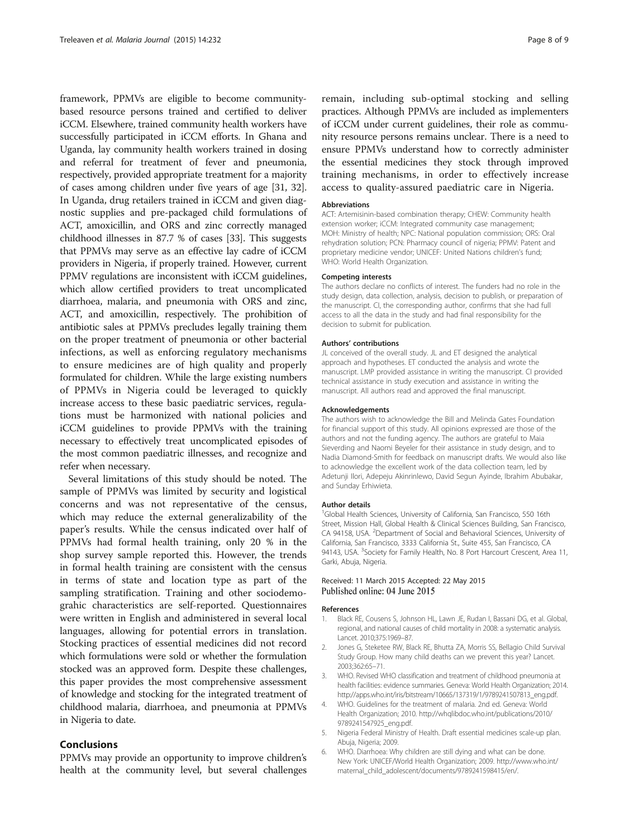<span id="page-7-0"></span>framework, PPMVs are eligible to become communitybased resource persons trained and certified to deliver iCCM. Elsewhere, trained community health workers have successfully participated in iCCM efforts. In Ghana and Uganda, lay community health workers trained in dosing and referral for treatment of fever and pneumonia, respectively, provided appropriate treatment for a majority of cases among children under five years of age [\[31, 32](#page-8-0)]. In Uganda, drug retailers trained in iCCM and given diagnostic supplies and pre-packaged child formulations of ACT, amoxicillin, and ORS and zinc correctly managed childhood illnesses in 87.7 % of cases [\[33](#page-8-0)]. This suggests that PPMVs may serve as an effective lay cadre of iCCM providers in Nigeria, if properly trained. However, current PPMV regulations are inconsistent with iCCM guidelines, which allow certified providers to treat uncomplicated diarrhoea, malaria, and pneumonia with ORS and zinc, ACT, and amoxicillin, respectively. The prohibition of antibiotic sales at PPMVs precludes legally training them on the proper treatment of pneumonia or other bacterial infections, as well as enforcing regulatory mechanisms to ensure medicines are of high quality and properly formulated for children. While the large existing numbers of PPMVs in Nigeria could be leveraged to quickly increase access to these basic paediatric services, regulations must be harmonized with national policies and iCCM guidelines to provide PPMVs with the training necessary to effectively treat uncomplicated episodes of the most common paediatric illnesses, and recognize and refer when necessary.

Several limitations of this study should be noted. The sample of PPMVs was limited by security and logistical concerns and was not representative of the census, which may reduce the external generalizability of the paper's results. While the census indicated over half of PPMVs had formal health training, only 20 % in the shop survey sample reported this. However, the trends in formal health training are consistent with the census in terms of state and location type as part of the sampling stratification. Training and other sociodemograhic characteristics are self-reported. Questionnaires were written in English and administered in several local languages, allowing for potential errors in translation. Stocking practices of essential medicines did not record which formulations were sold or whether the formulation stocked was an approved form. Despite these challenges, this paper provides the most comprehensive assessment of knowledge and stocking for the integrated treatment of childhood malaria, diarrhoea, and pneumonia at PPMVs in Nigeria to date.

## Conclusions

PPMVs may provide an opportunity to improve children's health at the community level, but several challenges remain, including sub-optimal stocking and selling practices. Although PPMVs are included as implementers of iCCM under current guidelines, their role as community resource persons remains unclear. There is a need to ensure PPMVs understand how to correctly administer the essential medicines they stock through improved training mechanisms, in order to effectively increase access to quality-assured paediatric care in Nigeria.

#### Abbreviations

ACT: Artemisinin-based combination therapy; CHEW: Community health extension worker; iCCM: Integrated community case management; MOH: Ministry of health; NPC: National population commission; ORS: Oral rehydration solution; PCN: Pharmacy council of nigeria; PPMV: Patent and proprietary medicine vendor; UNICEF: United Nations children's fund; WHO: World Health Organization.

#### Competing interests

The authors declare no conflicts of interest. The funders had no role in the study design, data collection, analysis, decision to publish, or preparation of the manuscript. CI, the corresponding author, confirms that she had full access to all the data in the study and had final responsibility for the decision to submit for publication.

#### Authors' contributions

JL conceived of the overall study. JL and ET designed the analytical approach and hypotheses. ET conducted the analysis and wrote the manuscript. LMP provided assistance in writing the manuscript. CI provided technical assistance in study execution and assistance in writing the manuscript. All authors read and approved the final manuscript.

#### Acknowledgements

The authors wish to acknowledge the Bill and Melinda Gates Foundation for financial support of this study. All opinions expressed are those of the authors and not the funding agency. The authors are grateful to Maia Sieverding and Naomi Beyeler for their assistance in study design, and to Nadia Diamond-Smith for feedback on manuscript drafts. We would also like to acknowledge the excellent work of the data collection team, led by Adetunji Ilori, Adepeju Akinrinlewo, David Segun Ayinde, Ibrahim Abubakar, and Sunday Erhiwieta.

#### Author details

<sup>1</sup>Global Health Sciences, University of California, San Francisco, 550 16th Street, Mission Hall, Global Health & Clinical Sciences Building, San Francisco, CA 94158, USA. <sup>2</sup>Department of Social and Behavioral Sciences, University of California, San Francisco, 3333 California St., Suite 455, San Francisco, CA 94143, USA. <sup>3</sup>Society for Family Health, No. 8 Port Harcourt Crescent, Area 11 Garki, Abuja, Nigeria.

### Received: 11 March 2015 Accepted: 22 May 2015 Published online: 04 June 2015

#### References

- Black RE, Cousens S, Johnson HL, Lawn JE, Rudan I, Bassani DG, et al. Global, regional, and national causes of child mortality in 2008: a systematic analysis. Lancet. 2010;375:1969–87.
- 2. Jones G, Steketee RW, Black RE, Bhutta ZA, Morris SS, Bellagio Child Survival Study Group. How many child deaths can we prevent this year? Lancet. 2003;362:65–71.
- 3. WHO. Revised WHO classification and treatment of childhood pneumonia at health facilities: evidence summaries. Geneva: World Health Organization; 2014. [http://apps.who.int/iris/bitstream/10665/137319/1/9789241507813\\_eng.pdf](http://apps.who.int/iris/bitstream/10665/137319/1/9789241507813_eng.pdf).
- 4. WHO. Guidelines for the treatment of malaria. 2nd ed. Geneva: World Health Organization; 2010. [http://whqlibdoc.who.int/publications/2010/](http://whqlibdoc.who.int/publications/2010/9789241547925_eng.pdf) [9789241547925\\_eng.pdf](http://whqlibdoc.who.int/publications/2010/9789241547925_eng.pdf).
- 5. Nigeria Federal Ministry of Health. Draft essential medicines scale-up plan. Abuja, Nigeria; 2009.
- 6. WHO. Diarrhoea: Why children are still dying and what can be done. New York: UNICEF/World Health Organization; 2009. [http://www.who.int/](http://www.who.int/maternal_child_adolescent/documents/9789241598415/en/) [maternal\\_child\\_adolescent/documents/9789241598415/en/.](http://www.who.int/maternal_child_adolescent/documents/9789241598415/en/)